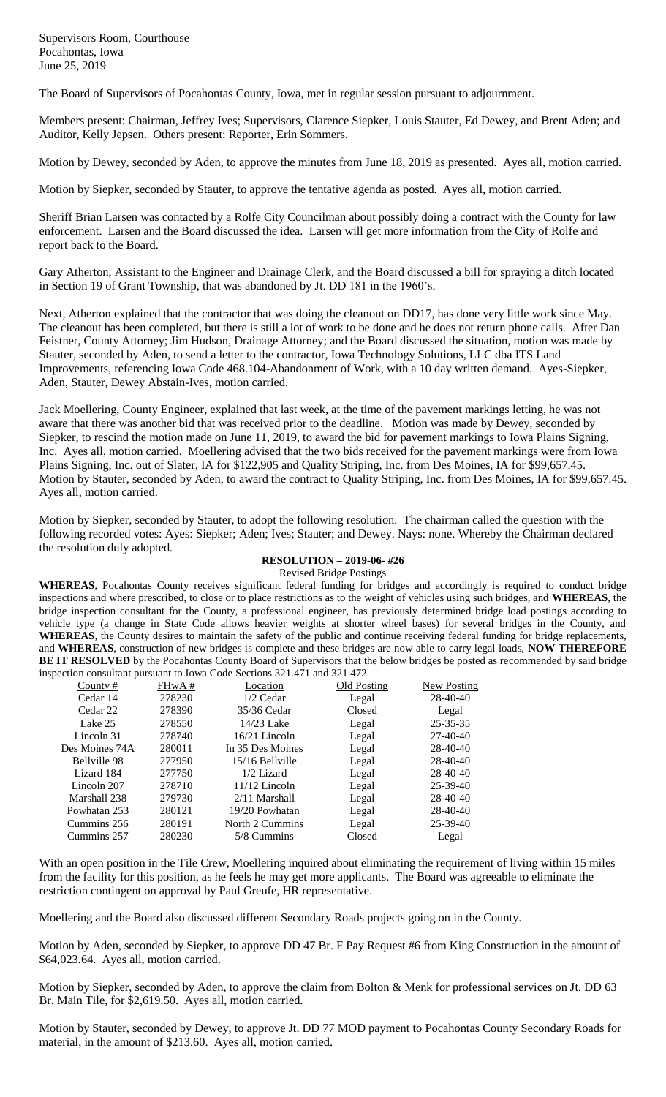Supervisors Room, Courthouse Pocahontas, Iowa June 25, 2019

The Board of Supervisors of Pocahontas County, Iowa, met in regular session pursuant to adjournment.

Members present: Chairman, Jeffrey Ives; Supervisors, Clarence Siepker, Louis Stauter, Ed Dewey, and Brent Aden; and Auditor, Kelly Jepsen. Others present: Reporter, Erin Sommers.

Motion by Dewey, seconded by Aden, to approve the minutes from June 18, 2019 as presented. Ayes all, motion carried.

Motion by Siepker, seconded by Stauter, to approve the tentative agenda as posted. Ayes all, motion carried.

Sheriff Brian Larsen was contacted by a Rolfe City Councilman about possibly doing a contract with the County for law enforcement. Larsen and the Board discussed the idea. Larsen will get more information from the City of Rolfe and report back to the Board.

Gary Atherton, Assistant to the Engineer and Drainage Clerk, and the Board discussed a bill for spraying a ditch located in Section 19 of Grant Township, that was abandoned by Jt. DD 181 in the 1960's.

Next, Atherton explained that the contractor that was doing the cleanout on DD17, has done very little work since May. The cleanout has been completed, but there is still a lot of work to be done and he does not return phone calls. After Dan Feistner, County Attorney; Jim Hudson, Drainage Attorney; and the Board discussed the situation, motion was made by Stauter, seconded by Aden, to send a letter to the contractor, Iowa Technology Solutions, LLC dba ITS Land Improvements, referencing Iowa Code 468.104-Abandonment of Work, with a 10 day written demand. Ayes-Siepker, Aden, Stauter, Dewey Abstain-Ives, motion carried.

Jack Moellering, County Engineer, explained that last week, at the time of the pavement markings letting, he was not aware that there was another bid that was received prior to the deadline. Motion was made by Dewey, seconded by Siepker, to rescind the motion made on June 11, 2019, to award the bid for pavement markings to Iowa Plains Signing, Inc. Ayes all, motion carried. Moellering advised that the two bids received for the pavement markings were from Iowa Plains Signing, Inc. out of Slater, IA for \$122,905 and Quality Striping, Inc. from Des Moines, IA for \$99,657.45. Motion by Stauter, seconded by Aden, to award the contract to Quality Striping, Inc. from Des Moines, IA for \$99,657.45. Ayes all, motion carried.

Motion by Siepker, seconded by Stauter, to adopt the following resolution. The chairman called the question with the following recorded votes: Ayes: Siepker; Aden; Ives; Stauter; and Dewey. Nays: none. Whereby the Chairman declared the resolution duly adopted.

## **RESOLUTION – 2019-06- #26**

Revised Bridge Postings

**WHEREAS**, Pocahontas County receives significant federal funding for bridges and accordingly is required to conduct bridge inspections and where prescribed, to close or to place restrictions as to the weight of vehicles using such bridges, and **WHEREAS**, the bridge inspection consultant for the County, a professional engineer, has previously determined bridge load postings according to vehicle type (a change in State Code allows heavier weights at shorter wheel bases) for several bridges in the County, and **WHEREAS**, the County desires to maintain the safety of the public and continue receiving federal funding for bridge replacements, and **WHEREAS**, construction of new bridges is complete and these bridges are now able to carry legal loads, **NOW THEREFORE BE IT RESOLVED** by the Pocahontas County Board of Supervisors that the below bridges be posted as recommended by said bridge inspection consultant pursuant to Iowa Code Sections 321.471 and 321.472.

| County $#$     | FHwA#  | Location         | Old Posting | <b>New Posting</b> |
|----------------|--------|------------------|-------------|--------------------|
| Cedar 14       | 278230 | $1/2$ Cedar      | Legal       | 28-40-40           |
| Cedar 22       | 278390 | 35/36 Cedar      | Closed      | Legal              |
| Lake 25        | 278550 | 14/23 Lake       | Legal       | 25-35-35           |
| Lincoln 31     | 278740 | $16/21$ Lincoln  | Legal       | $27-40-40$         |
| Des Moines 74A | 280011 | In 35 Des Moines | Legal       | 28-40-40           |
| Bellville 98   | 277950 | 15/16 Bellyille  | Legal       | 28-40-40           |
| Lizard 184     | 277750 | 1/2 Lizard       | Legal       | 28-40-40           |
| Lincoln 207    | 278710 | $11/12$ Lincoln  | Legal       | $25 - 39 - 40$     |
| Marshall 238   | 279730 | $2/11$ Marshall  | Legal       | 28-40-40           |
| Powhatan 253   | 280121 | 19/20 Powhatan   | Legal       | 28-40-40           |
| Cummins 256    | 280191 | North 2 Cummins  | Legal       | $25 - 39 - 40$     |
| Cummins 257    | 280230 | 5/8 Cummins      | Closed      | Legal              |

With an open position in the Tile Crew, Moellering inquired about eliminating the requirement of living within 15 miles from the facility for this position, as he feels he may get more applicants. The Board was agreeable to eliminate the restriction contingent on approval by Paul Greufe, HR representative.

Moellering and the Board also discussed different Secondary Roads projects going on in the County.

Motion by Aden, seconded by Siepker, to approve DD 47 Br. F Pay Request #6 from King Construction in the amount of \$64,023.64. Ayes all, motion carried.

Motion by Siepker, seconded by Aden, to approve the claim from Bolton & Menk for professional services on Jt. DD 63 Br. Main Tile, for \$2,619.50. Ayes all, motion carried.

Motion by Stauter, seconded by Dewey, to approve Jt. DD 77 MOD payment to Pocahontas County Secondary Roads for material, in the amount of \$213.60. Ayes all, motion carried.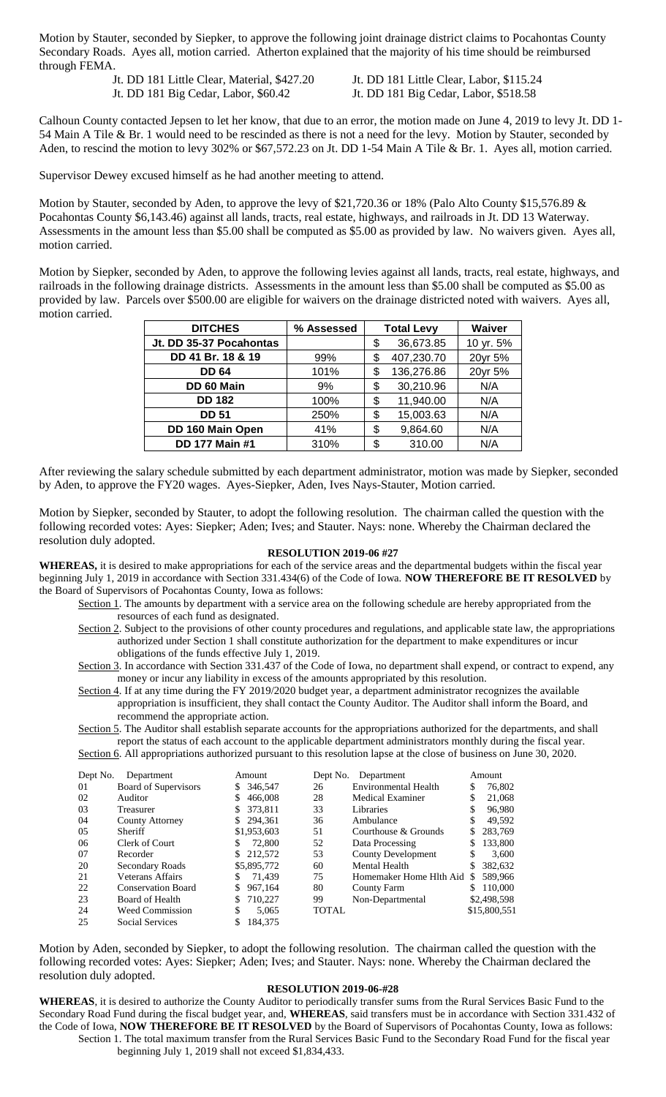Motion by Stauter, seconded by Siepker, to approve the following joint drainage district claims to Pocahontas County Secondary Roads. Ayes all, motion carried. Atherton explained that the majority of his time should be reimbursed through FEMA.

> Jt. DD 181 Little Clear, Material, \$427.20 Jt. DD 181 Little Clear, Labor, \$115.24 Jt. DD 181 Big Cedar, Labor, \$60.42 Jt. DD 181 Big Cedar, Labor, \$518.58

Calhoun County contacted Jepsen to let her know, that due to an error, the motion made on June 4, 2019 to levy Jt. DD 1- 54 Main A Tile & Br. 1 would need to be rescinded as there is not a need for the levy. Motion by Stauter, seconded by Aden, to rescind the motion to levy 302% or \$67,572.23 on Jt. DD 1-54 Main A Tile & Br. 1. Ayes all, motion carried.

Supervisor Dewey excused himself as he had another meeting to attend.

Motion by Stauter, seconded by Aden, to approve the levy of \$21,720.36 or 18% (Palo Alto County \$15,576.89 & Pocahontas County \$6,143.46) against all lands, tracts, real estate, highways, and railroads in Jt. DD 13 Waterway. Assessments in the amount less than \$5.00 shall be computed as \$5.00 as provided by law. No waivers given. Ayes all, motion carried.

Motion by Siepker, seconded by Aden, to approve the following levies against all lands, tracts, real estate, highways, and railroads in the following drainage districts. Assessments in the amount less than \$5.00 shall be computed as \$5.00 as provided by law. Parcels over \$500.00 are eligible for waivers on the drainage districted noted with waivers. Ayes all, motion carried.

| <b>DITCHES</b>          | % Assessed | <b>Total Levy</b> |            | Waiver    |
|-------------------------|------------|-------------------|------------|-----------|
| Jt. DD 35-37 Pocahontas |            | \$                | 36,673.85  | 10 yr. 5% |
| DD 41 Br. 18 & 19       | 99%        | \$                | 407,230.70 | 20yr 5%   |
| <b>DD 64</b>            | 101%       | \$                | 136,276.86 | 20yr 5%   |
| DD 60 Main              | 9%         | \$                | 30,210.96  | N/A       |
| <b>DD 182</b>           | 100%       | \$                | 11,940.00  | N/A       |
| <b>DD 51</b>            | 250%       | \$                | 15,003.63  | N/A       |
| DD 160 Main Open        | 41%        | \$                | 9,864.60   | N/A       |
| <b>DD 177 Main #1</b>   | 310%       | \$                | 310.00     | N/A       |

After reviewing the salary schedule submitted by each department administrator, motion was made by Siepker, seconded by Aden, to approve the FY20 wages. Ayes-Siepker, Aden, Ives Nays-Stauter, Motion carried.

Motion by Siepker, seconded by Stauter, to adopt the following resolution. The chairman called the question with the following recorded votes: Ayes: Siepker; Aden; Ives; and Stauter. Nays: none. Whereby the Chairman declared the resolution duly adopted.

## **RESOLUTION 2019-06 #27**

**WHEREAS,** it is desired to make appropriations for each of the service areas and the departmental budgets within the fiscal year beginning July 1, 2019 in accordance with Section 331.434(6) of the Code of Iowa. **NOW THEREFORE BE IT RESOLVED** by the Board of Supervisors of Pocahontas County, Iowa as follows:

- Section 1. The amounts by department with a service area on the following schedule are hereby appropriated from the resources of each fund as designated.
- Section 2. Subject to the provisions of other county procedures and regulations, and applicable state law, the appropriations authorized under Section 1 shall constitute authorization for the department to make expenditures or incur obligations of the funds effective July 1, 2019.
- Section 3. In accordance with Section 331.437 of the Code of Iowa, no department shall expend, or contract to expend, any money or incur any liability in excess of the amounts appropriated by this resolution.
- Section 4. If at any time during the FY 2019/2020 budget year, a department administrator recognizes the available appropriation is insufficient, they shall contact the County Auditor. The Auditor shall inform the Board, and recommend the appropriate action.

Section 5. The Auditor shall establish separate accounts for the appropriations authorized for the departments, and shall report the status of each account to the applicable department administrators monthly during the fiscal year. Section 6. All appropriations authorized pursuant to this resolution lapse at the close of business on June 30, 2020.

| Dept No.      | Department                | Amount        | Dept No.     | Department                |     | Amount       |
|---------------|---------------------------|---------------|--------------|---------------------------|-----|--------------|
| 01            | Board of Supervisors      | 346,547<br>S. | 26           | Environmental Health      | \$  | 76,802       |
| 02            | Auditor                   | 466,008<br>S. | 28           | <b>Medical Examiner</b>   | \$  | 21,068       |
| 03            | Treasurer                 | 373.811       | 33           | Libraries                 | \$  | 96,980       |
| 04            | County Attorney           | 294.361       | 36           | Ambulance                 |     | 49.592       |
| $0.5^{\circ}$ | <b>Sheriff</b>            | \$1,953,603   | 51           | Courthouse & Grounds      |     | 283,769      |
| 06            | Clerk of Court            | 72,800<br>S.  | 52           | Data Processing           |     | 133,800      |
| 07            | Recorder                  | 212,572       | 53           | <b>County Development</b> | \$  | 3.600        |
| 20            | Secondary Roads           | \$5,895,772   | 60           | Mental Health             |     | 382,632      |
| 21            | Veterans Affairs          | 71.439<br>S   | 75           | Homemaker Home Hlth Aid   | \$. | 589,966      |
| 22            | <b>Conservation Board</b> | 967.164       | 80           | <b>County Farm</b>        | \$. | 110,000      |
| 23            | Board of Health           | 710.227       | 99           | Non-Departmental          |     | \$2,498,598  |
| 24            | <b>Weed Commission</b>    | \$<br>5.065   | <b>TOTAL</b> |                           |     | \$15,800,551 |
| 25            | <b>Social Services</b>    | 184,375       |              |                           |     |              |

Motion by Aden, seconded by Siepker, to adopt the following resolution. The chairman called the question with the following recorded votes: Ayes: Siepker; Aden; Ives; and Stauter. Nays: none. Whereby the Chairman declared the resolution duly adopted.

## **RESOLUTION 2019-06-#28**

**WHEREAS**, it is desired to authorize the County Auditor to periodically transfer sums from the Rural Services Basic Fund to the Secondary Road Fund during the fiscal budget year, and, **WHEREAS**, said transfers must be in accordance with Section 331.432 of the Code of Iowa, **NOW THEREFORE BE IT RESOLVED** by the Board of Supervisors of Pocahontas County, Iowa as follows: Section 1. The total maximum transfer from the Rural Services Basic Fund to the Secondary Road Fund for the fiscal year beginning July 1, 2019 shall not exceed \$1,834,433.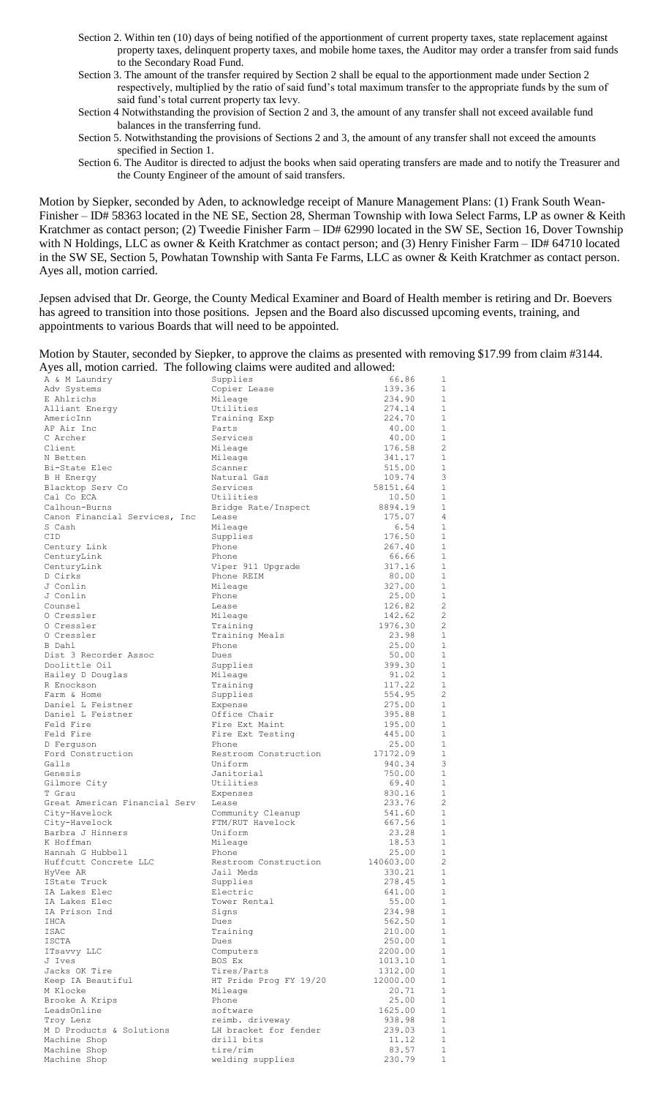- Section 2. Within ten (10) days of being notified of the apportionment of current property taxes, state replacement against property taxes, delinquent property taxes, and mobile home taxes, the Auditor may order a transfer from said funds to the Secondary Road Fund.
- Section 3. The amount of the transfer required by Section 2 shall be equal to the apportionment made under Section 2 respectively, multiplied by the ratio of said fund's total maximum transfer to the appropriate funds by the sum of said fund's total current property tax levy.
- Section 4 Notwithstanding the provision of Section 2 and 3, the amount of any transfer shall not exceed available fund balances in the transferring fund.
- Section 5. Notwithstanding the provisions of Sections 2 and 3, the amount of any transfer shall not exceed the amounts specified in Section 1.

Section 6. The Auditor is directed to adjust the books when said operating transfers are made and to notify the Treasurer and the County Engineer of the amount of said transfers.

Motion by Siepker, seconded by Aden, to acknowledge receipt of Manure Management Plans: (1) Frank South Wean-Finisher – ID# 58363 located in the NE SE, Section 28, Sherman Township with Iowa Select Farms, LP as owner & Keith Kratchmer as contact person; (2) Tweedie Finisher Farm – ID# 62990 located in the SW SE, Section 16, Dover Township with N Holdings, LLC as owner & Keith Kratchmer as contact person; and (3) Henry Finisher Farm – ID# 64710 located in the SW SE, Section 5, Powhatan Township with Santa Fe Farms, LLC as owner & Keith Kratchmer as contact person. Ayes all, motion carried.

Jepsen advised that Dr. George, the County Medical Examiner and Board of Health member is retiring and Dr. Boevers has agreed to transition into those positions. Jepsen and the Board also discussed upcoming events, training, and appointments to various Boards that will need to be appointed.

Motion by Stauter, seconded by Siepker, to approve the claims as presented with removing \$17.99 from claim #3144. Ayes all, motion carried. The following claims were audited and allowed:

| A & M Laundry                 | Supplies               | 66.86             | 1                            |
|-------------------------------|------------------------|-------------------|------------------------------|
| Adv Systems                   | Copier Lease           | 139.36            | 1                            |
| E Ahlrichs                    | Mileage                | 234.90            | $\mathbf{1}$                 |
| Alliant Energy                | Utilities              | 274.14            | 1                            |
| AmericInn                     | Training Exp           | 224.70            | 1                            |
| AP Air Inc                    | Parts                  | 40.00             | 1                            |
| C Archer                      | Services               | 40.00             | 1                            |
| Client                        | Mileage                | 176.58            | 2                            |
| N Betten                      | Mileage                | 341.17            | $\mathbf{1}$                 |
| Bi-State Elec                 | Scanner                | 515.00            | $\mathbf{1}$                 |
| <b>B</b> H Energy             | Natural Gas            | 109.74            | 3                            |
| Blacktop Serv Co              | Services               | 58151.64          | 1                            |
| Cal Co ECA                    | Utilities              | 10.50             | 1                            |
| Calhoun-Burns                 | Bridge Rate/Inspect    | 8894.19           | 1                            |
| Canon Financial Services, Inc | Lease                  | 175.07            | $\overline{4}$               |
| S Cash                        | Mileage                | 6.54              | 1                            |
| <b>CID</b>                    | Supplies               | 176.50            | 1                            |
| Century Link                  | Phone                  | 267.40            | 1                            |
| CenturyLink                   | Phone                  | 66.66             | 1                            |
| CenturyLink                   | Viper 911 Upgrade      | 317.16            | $\mathbf{1}$<br>$\mathbf{1}$ |
| D Cirks                       | Phone REIM             | 80.00<br>327.00   | $\mathbf{1}$                 |
| J Conlin<br>J Conlin          | Mileage                |                   | $\mathbf{1}$                 |
|                               | Phone                  | 25.00<br>126.82   | $\overline{c}$               |
| Counsel<br>O Cressler         | Lease<br>Mileage       | 142.62            | 2                            |
| O Cressler                    | Training               | 1976.30           | $\overline{c}$               |
| O Cressler                    | Training Meals         | 23.98             | $\mathbf{1}$                 |
| B Dahl                        | Phone                  | 25.00             | $\mathbf{1}$                 |
| Dist 3 Recorder Assoc         | Dues                   | 50.00             | $\mathbf{1}$                 |
| Doolittle Oil                 | Supplies               | 399.30            | $\mathbf{1}$                 |
| Hailey D Douglas              | Mileage                | 91.02             | $\mathbf{1}$                 |
| R Enockson                    | Training               | 117.22            | $\mathbf{1}$                 |
| Farm & Home                   | Supplies               | 554.95            | $\overline{c}$               |
| Daniel L Feistner             | Expense                | 275.00            | $\mathbf{1}$                 |
| Daniel L Feistner             | Office Chair           | 395.88            | $\mathbf{1}$                 |
| Feld Fire                     | Fire Ext Maint         | 195.00            | $\mathbf{1}$                 |
| Feld Fire                     | Fire Ext Testing       | 445.00            | $\mathbf{1}$                 |
| D Ferquson                    | Phone                  | 25.00             | 1                            |
| Ford Construction             | Restroom Construction  | 17172.09          | $\mathbf{1}$                 |
| Galls                         | Uniform                | 940.34            | 3                            |
| Genesis                       | Janitorial             | 750.00            | 1                            |
| Gilmore City                  | Utilities              | 69.40             | $\mathbf{1}$                 |
| T Grau                        | Expenses               | 830.16            | 1                            |
| Great American Financial Serv | Lease                  | 233.76            | $\overline{c}$               |
| City-Havelock                 | Community Cleanup      | 541.60            | 1                            |
| City-Havelock                 | FTM/RUT Havelock       | 667.56            | 1                            |
| Barbra J Hinners              | Uniform                | 23.28             | 1                            |
| K Hoffman                     | Mileage                | 18.53             | 1                            |
| Hannah G Hubbell              | Phone                  | 25.00             | $\mathbf{1}$                 |
| Huffcutt Concrete LLC         | Restroom Construction  | 140603.00         | $\overline{c}$               |
| HyVee AR                      | Jail Meds              | 330.21            | 1                            |
| IState Truck                  | Supplies               | 278.45            | $\mathbf{1}$                 |
| IA Lakes Elec                 | Electric               | 641.00            | 1                            |
| IA Lakes Elec                 | Tower Rental           | 55.00             | $\mathbf{1}$                 |
| IA Prison Ind                 | Signs                  | 234.98            | 1                            |
| IHCA                          | Dues                   | 562.50            | $\mathbf{1}$                 |
| ISAC                          | Training               | 210.00            | 1                            |
| ISCTA                         | Dues<br>Computers      | 250.00<br>2200.00 | $\,1\,$<br>$\mathbf{1}$      |
| ITsavvy LLC<br>J Ives         | BOS Ex                 | 1013.10           | $\mathbf{1}$                 |
| Jacks OK Tire                 | Tires/Parts            | 1312.00           | 1                            |
| Keep IA Beautiful             | HT Pride Prog FY 19/20 | 12000.00          | 1                            |
| M Klocke                      | Mileage                | 20.71             | 1                            |
| Brooke A Krips                | Phone                  | 25.00             | 1                            |
| LeadsOnline                   | software               | 1625.00           | $\mathbf{1}$                 |
| Troy Lenz                     | reimb. driveway        | 938.98            | 1                            |
| M D Products & Solutions      | LH bracket for fender  | 239.03            | 1                            |
| Machine Shop                  | drill bits             | 11.12             | $\mathbf{1}$                 |
| Machine Shop                  | tire/rim               | 83.57             | 1                            |
| Machine Shop                  | welding supplies       | 230.79            | $1\,$                        |